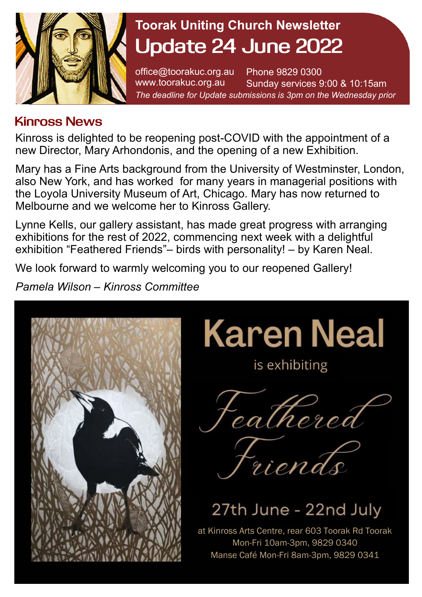

## **Toorak Uniting Church Newsletter Update 24 June 2022**

office@toorakuc.org.au www.toorakuc.org.au Phone 9829 0300 Sunday services 9:00 & 10:15am *The deadline for Update submissions is 3pm on the Wednesday prior* 

## **Kinross News**

Kinross is delighted to be reopening post-COVID with the appointment of a new Director, Mary Arhondonis, and the opening of a new Exhibition.

Mary has a Fine Arts background from the University of Westminster, London, also New York, and has worked for many years in managerial positions with the Loyola University Museum of Art, Chicago. Mary has now returned to Melbourne and we welcome her to Kinross Gallery.

Lynne Kells, our gallery assistant, has made great progress with arranging exhibitions for the rest of 2022, commencing next week with a delightful exhibition "Feathered Friends"– birds with personality! – by Karen Neal.

We look forward to warmly welcoming you to our reopened Gallery!

*Pamela Wilson – Kinross Committee*



**Karen Neal** 

is exhibiting

cathered



# 27th June - 22nd July

at Kinross Arts Centre, rear 603 Toorak Rd Toorak Mon-Fri 10am-3pm, 9829 0340 Manse Café Mon-Fri 8am-3pm, 9829 0341